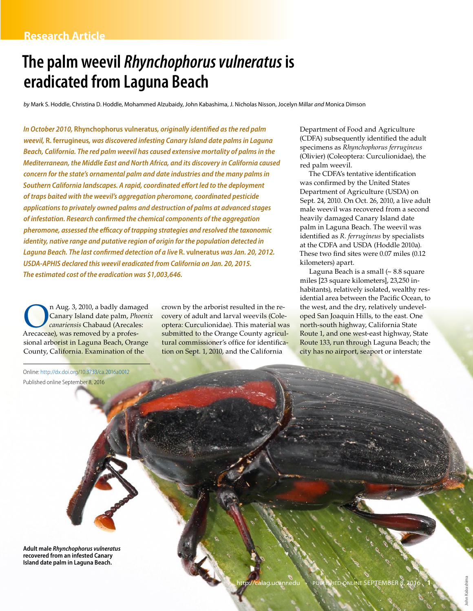# **The palm weevil** *Rhynchophorus vulneratus* **is eradicated from Laguna Beach**

*by* Mark S. Hoddle, Christina D. Hoddle, Mohammed Alzubaidy, John Kabashima, J. Nicholas Nisson, Jocelyn Millar *and* Monica Dimson

*In October 2010,* **Rhynchophorus vulneratus***, originally identified as the red palm weevil,* **R. ferrugineus***, was discovered infesting Canary Island date palms in Laguna Beach, California. The red palm weevil has caused extensive mortality of palms in the Mediterranean, the Middle East and North Africa, and its discovery in California caused concern for the state's ornamental palm and date industries and the many palms in Southern California landscapes. A rapid, coordinated effort led to the deployment of traps baited with the weevil's aggregation pheromone, coordinated pesticide applications to privately owned palms and destruction of palms at advanced stages of infestation. Research confirmed the chemical components of the aggregation pheromone, assessed the efficacy of trapping strategies and resolved the taxonomic identity, native range and putative region of origin for the population detected in Laguna Beach. The last confirmed detection of a live* **R. vulneratus** *was Jan. 20, 2012. USDA-APHIS declared this weevil eradicated from California on Jan. 20, 2015. The estimated cost of the eradication was \$1,003,646.*

n Aug. 3, 2010, a badly damaged<br>Canary Island date palm, *Phoeni.*<br>A recaceae) was removed by a profes-Canary Island date palm, *Phoenix canariensis* Chabaud (Arecales: Arecaceae), was removed by a professional arborist in Laguna Beach, Orange County, California. Examination of the

crown by the arborist resulted in the recovery of adult and larval weevils (Coleoptera: Curculionidae). This material was submitted to the Orange County agricultural commissioner's office for identification on Sept. 1, 2010, and the California

Department of Food and Agriculture (CDFA) subsequently identified the adult specimens as *Rhynchophorus ferrugineus* (Olivier) (Coleoptera: Curculionidae), the red palm weevil.

The CDFA's tentative identification was confirmed by the United States Department of Agriculture (USDA) on Sept. 24, 2010. On Oct. 26, 2010, a live adult male weevil was recovered from a second heavily damaged Canary Island date palm in Laguna Beach. The weevil was identified as *R. ferrugineus* by specialists at the CDFA and USDA (Hoddle 2010a). These two find sites were 0.07 miles (0.12 kilometers) apart.

Laguna Beach is a small (~ 8.8 square miles [23 square kilometers], 23,250 inhabitants), relatively isolated, wealthy residential area between the Pacific Ocean, to the west, and the dry, relatively undeveloped San Joaquin Hills, to the east. One north-south highway, California State Route 1, and one west-east highway, State Route 133, run through Laguna Beach; the city has no airport, seaport or interstate

Online: [http://dx.doi.org/10.3733/](http://dx.doi.org/10.3733/ca.2016a0012)ca.2016a0012 Published online September 8, 2016 **Adult male** *Rhynchophorus vulneratus* **recovered from an infested Canary Island date palm in Laguna Beach.**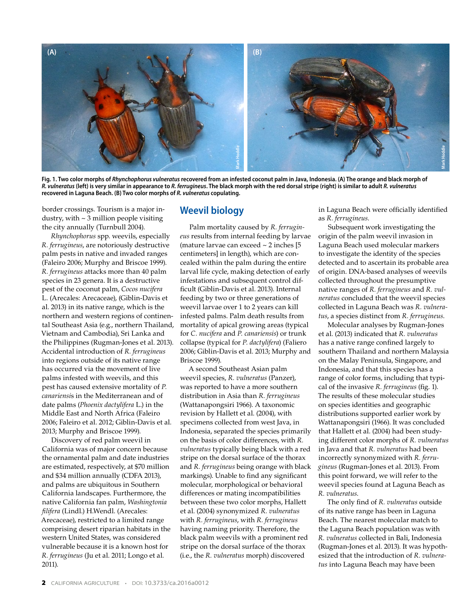

**Fig. 1. Two color morphs of** *Rhynchophorus vulneratus* **recovered from an infested coconut palm in Java, Indonesia. (A) The orange and black morph of**  *R. vulneratus* **(left) is very similar in appearance to** *R. ferrugineus***. The black morph with the red dorsal stripe (right) is similar to adult** *R. vulneratus* **recovered in Laguna Beach. (B) Two color morphs of** *R. vulneratus* **copulating.** 

border crossings. Tourism is a major industry, with  $\sim$  3 million people visiting the city annually (Turnbull 2004).

*Rhynchophorus* spp. weevils, especially *R. ferrugineus*, are notoriously destructive palm pests in native and invaded ranges (Faleiro 2006; Murphy and Briscoe 1999). *R. ferrugineus* attacks more than 40 palm species in 23 genera. It is a destructive pest of the coconut palm, *Cocos nucifera* L. (Arecales: Arecaceae), (Giblin-Davis et al. 2013) in its native range, which is the northern and western regions of continental Southeast Asia (e.g., northern Thailand, Vietnam and Cambodia), Sri Lanka and the Philippines (Rugman-Jones et al. 2013). Accidental introduction of *R. ferrugineus* into regions outside of its native range has occurred via the movement of live palms infested with weevils, and this pest has caused extensive mortality of *P. canariensi*s in the Mediterranean and of date palms (*Phoenix dactylifera* L.) in the Middle East and North Africa (Faleiro 2006; Faleiro et al. 2012; Giblin-Davis et al. 2013; Murphy and Briscoe 1999).

Discovery of red palm weevil in California was of major concern because the ornamental palm and date industries are estimated, respectively, at \$70 million and \$34 million annually (CDFA 2013), and palms are ubiquitous in Southern California landscapes. Furthermore, the native California fan palm, *Washingtonia filifera* (Lindl.) H.Wendl. (Arecales: Arecaceae), restricted to a limited range comprising desert riparian habitats in the western United States, was considered vulnerable because it is a known host for *R. ferrugineus* (Ju et al. 2011; Longo et al. 2011).

#### **Weevil biology**

Palm mortality caused by *R. ferrugineus* results from internal feeding by larvae (mature larvae can exceed  $\sim$  2 inches [5] centimeters] in length), which are concealed within the palm during the entire larval life cycle, making detection of early infestations and subsequent control difficult (Giblin-Davis et al. 2013). Internal feeding by two or three generations of weevil larvae over 1 to 2 years can kill infested palms. Palm death results from mortality of apical growing areas (typical for *C. nucifera* and *P. canariensis*) or trunk collapse (typical for *P. dactylifera*) (Faliero 2006; Giblin-Davis et al. 2013; Murphy and Briscoe 1999).

A second Southeast Asian palm weevil species, *R. vulneratus* (Panzer), was reported to have a more southern distribution in Asia than *R. ferrugineus* (Wattanapongsiri 1966). A taxonomic revision by Hallett et al. (2004), with specimens collected from west Java, in Indonesia, separated the species primarily on the basis of color differences, with *R. vulneratus* typically being black with a red stripe on the dorsal surface of the thorax and *R. ferrugineus* being orange with black markings). Unable to find any significant molecular, morphological or behavioral differences or mating incompatibilities between these two color morphs, Hallett et al. (2004) synonymized *R. vulneratus* with *R. ferrugineus*, with *R. ferrugineus* having naming priority. Therefore, the black palm weevils with a prominent red stripe on the dorsal surface of the thorax (i.e., the *R. vulneratus* morph) discovered

in Laguna Beach were officially identified as *R. ferrugineus*.

Subsequent work investigating the origin of the palm weevil invasion in Laguna Beach used molecular markers to investigate the identity of the species detected and to ascertain its probable area of origin. DNA-based analyses of weevils collected throughout the presumptive native ranges of *R. ferrugineus* and *R. vulneratus* concluded that the weevil species collected in Laguna Beach was *R. vulneratus*, a species distinct from *R. ferrugineus*.

Molecular analyses by Rugman-Jones et al. (2013) indicated that *R. vulneratus* has a native range confined largely to southern Thailand and northern Malaysia on the Malay Peninsula, Singapore, and Indonesia, and that this species has a range of color forms, including that typical of the invasive *R. ferrugineus* (fig. 1). The results of these molecular studies on species identities and geographic distributions supported earlier work by Wattanapongsiri (1966). It was concluded that Hallett et al. (2004) had been studying different color morphs of *R. vulneratus* in Java and that *R. vulneratus* had been incorrectly synonymized with *R. ferrugineus* (Rugman-Jones et al. 2013). From this point forward, we will refer to the weevil species found at Laguna Beach as *R. vulneratus*.

The only find of *R. vulneratus* outside of its native range has been in Laguna Beach. The nearest molecular match to the Laguna Beach population was with *R. vulneratus* collected in Bali, Indonesia (Rugman-Jones et al. 2013). It was hypothesized that the introduction of *R. vulneratus* into Laguna Beach may have been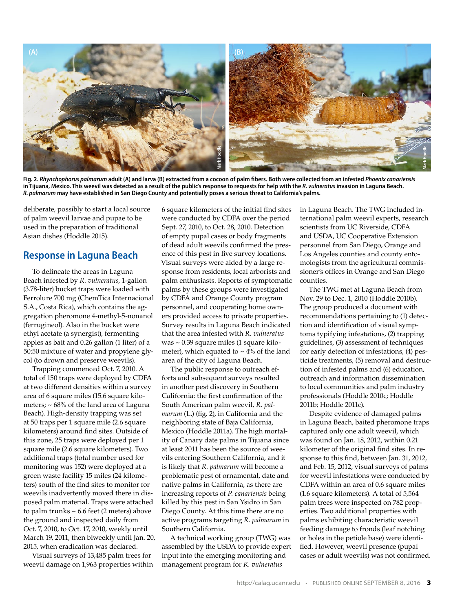

**Fig. 2.** *Rhynchophorus palmarum* **adult (A) and larva (B) extracted from a cocoon of palm fibers. Both were collected from an infested** *Phoenix canariensis* in Tijuana, Mexico. This weevil was detected as a result of the public's response to requests for help with the *R. vulneratus* invasion in Laguna Beach. *R. palmarum* **may have established in San Diego County and potentially poses a serious threat to California's palms.**

deliberate, possibly to start a local source of palm weevil larvae and pupae to be used in the preparation of traditional Asian dishes (Hoddle 2015).

#### **Response in Laguna Beach**

To delineate the areas in Laguna Beach infested by *R. vulneratus*, 1-gallon (3.78-liter) bucket traps were loaded with Ferrolure 700 mg (ChemTica Internacional S.A., Costa Rica), which contains the aggregation pheromone 4-methyl-5-nonanol (ferrugineol). Also in the bucket were ethyl acetate (a synergist), fermenting apples as bait and 0.26 gallon (1 liter) of a 50:50 mixture of water and propylene glycol (to drown and preserve weevils).

Trapping commenced Oct. 7, 2010. A total of 150 traps were deployed by CDFA at two different densities within a survey area of 6 square miles (15.6 square kilometers;  $\sim 68\%$  of the land area of Laguna Beach). High-density trapping was set at 50 traps per 1 square mile (2.6 square kilometers) around find sites. Outside of this zone, 25 traps were deployed per 1 square mile (2.6 square kilometers). Two additional traps (total number used for monitoring was 152) were deployed at a green waste facility 15 miles (24 kilometers) south of the find sites to monitor for weevils inadvertently moved there in disposed palm material. Traps were attached to palm trunks  $\sim 6.6$  feet (2 meters) above the ground and inspected daily from Oct. 7, 2010, to Oct. 17, 2010, weekly until March 19, 2011, then biweekly until Jan. 20, 2015, when eradication was declared.

Visual surveys of 13,485 palm trees for weevil damage on 1,963 properties within 6 square kilometers of the initial find sites were conducted by CDFA over the period Sept. 27, 2010, to Oct. 28, 2010. Detection of empty pupal cases or body fragments of dead adult weevils confirmed the presence of this pest in five survey locations. Visual surveys were aided by a large response from residents, local arborists and palm enthusiasts. Reports of symptomatic palms by these groups were investigated by CDFA and Orange County program personnel, and cooperating home owners provided access to private properties. Survey results in Laguna Beach indicated that the area infested with *R. vulneratus* was ~ 0.39 square miles (1 square kilometer), which equated to  $\sim$  4% of the land area of the city of Laguna Beach.

The public response to outreach efforts and subsequent surveys resulted in another pest discovery in Southern California: the first confirmation of the South American palm weevil, *R. palmarum* (L.) (fig. 2), in California and the neighboring state of Baja California, Mexico (Hoddle 2011a). The high mortality of Canary date palms in Tijuana since at least 2011 has been the source of weevils entering Southern California, and it is likely that *R. palmarum* will become a problematic pest of ornamental, date and native palms in California, as there are increasing reports of *P. canariensis* being killed by this pest in San Ysidro in San Diego County. At this time there are no active programs targeting *R. palmarum* in Southern California.

A technical working group (TWG) was assembled by the USDA to provide expert input into the emerging monitoring and management program for *R. vulneratus*

in Laguna Beach. The TWG included international palm weevil experts, research scientists from UC Riverside, CDFA and USDA, UC Cooperative Extension personnel from San Diego, Orange and Los Angeles counties and county entomologists from the agricultural commissioner's offices in Orange and San Diego counties.

The TWG met at Laguna Beach from Nov. 29 to Dec. 1, 2010 (Hoddle 2010b). The group produced a document with recommendations pertaining to (1) detection and identification of visual symptoms typifying infestations, (2) trapping guidelines, (3) assessment of techniques for early detection of infestations, (4) pesticide treatments, (5) removal and destruction of infested palms and (6) education, outreach and information dissemination to local communities and palm industry professionals (Hoddle 2010c; Hoddle 2011b; Hoddle 2011c).

Despite evidence of damaged palms in Laguna Beach, baited pheromone traps captured only one adult weevil, which was found on Jan. 18, 2012, within 0.21 kilometer of the original find sites. In response to this find, between Jan. 31, 2012, and Feb. 15, 2012, visual surveys of palms for weevil infestations were conducted by CDFA within an area of 0.6 square miles (1.6 square kilometers). A total of 5,564 palm trees were inspected on 782 properties. Two additional properties with palms exhibiting characteristic weevil feeding damage to fronds (leaf notching or holes in the petiole base) were identified. However, weevil presence (pupal cases or adult weevils) was not confirmed.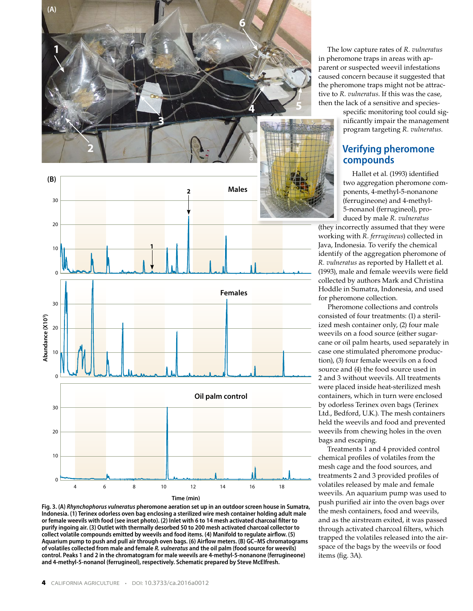



**Fig. 3. (A)** *Rhynchophorus vulneratus* **pheromone aeration set up in an outdoor screen house in Sumatra, Indonesia. (1) Terinex odorless oven bag enclosing a sterilized wire mesh container holding adult male or female weevils with food (see inset photo). (2) Inlet with 6 to 14 mesh activated charcoal filter to purify ingoing air. (3) Outlet with thermally desorbed 50 to 200 mesh activated charcoal collector to collect volatile compounds emitted by weevils and food items. (4) Manifold to regulate airflow. (5) Aquarium pump to push and pull air through oven bags. (6) Airflow meters. (B) GC–MS chromatograms of volatiles collected from male and female** *R. vulneratus* **and the oil palm (food source for weevils) control. Peaks 1 and 2 in the chromatogram for male weevils are 4-methyl-5-nonanone (ferrugineone) and 4-methyl-5-nonanol (ferrugineol), respectively. Schematic prepared by Steve McElfresh.**

The low capture rates of *R. vulneratus* in pheromone traps in areas with apparent or suspected weevil infestations caused concern because it suggested that the pheromone traps might not be attractive to *R. vulneratus*. If this was the case, then the lack of a sensitive and species-

specific monitoring tool could significantly impair the management program targeting *R. vulneratus*.

# **Verifying pheromone compounds**

Hallet et al. (1993) identified two aggregation pheromone components, 4-methyl-5-nonanone (ferrugineone) and 4-methyl-5-nonanol (ferrugineol), produced by male *R. vulneratus*

(they incorrectly assumed that they were working with *R. ferrugineus*) collected in Java, Indonesia. To verify the chemical identify of the aggregation pheromone of *R. vulneratus* as reported by Hallett et al. (1993), male and female weevils were field collected by authors Mark and Christina Hoddle in Sumatra, Indonesia, and used for pheromone collection.

Pheromone collections and controls consisted of four treatments: (1) a sterilized mesh container only, (2) four male weevils on a food source (either sugarcane or oil palm hearts, used separately in case one stimulated pheromone production), (3) four female weevils on a food source and (4) the food source used in 2 and 3 without weevils. All treatments were placed inside heat-sterilized mesh containers, which in turn were enclosed by odorless Terinex oven bags (Terinex Ltd., Bedford, U.K.). The mesh containers held the weevils and food and prevented weevils from chewing holes in the oven bags and escaping.

Treatments 1 and 4 provided control chemical profiles of volatiles from the mesh cage and the food sources, and treatments 2 and 3 provided profiles of volatiles released by male and female weevils. An aquarium pump was used to push purified air into the oven bags over the mesh containers, food and weevils, and as the airstream exited, it was passed through activated charcoal filters, which trapped the volatiles released into the airspace of the bags by the weevils or food items (fig. 3A).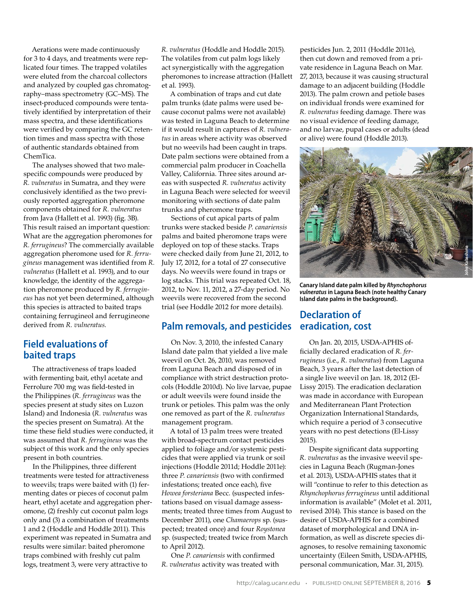Aerations were made continuously for 3 to 4 days, and treatments were replicated four times. The trapped volatiles were eluted from the charcoal collectors and analyzed by coupled gas chromatography–mass spectrometry (GC–MS). The insect-produced compounds were tentatively identified by interpretation of their mass spectra, and these identifications were verified by comparing the GC retention times and mass spectra with those of authentic standards obtained from ChemTica.

The analyses showed that two malespecific compounds were produced by *R. vulneratus* in Sumatra, and they were conclusively identified as the two previously reported aggregation pheromone components obtained for *R. vulneratus* from Java (Hallett et al. 1993) (fig. 3B). This result raised an important question: What are the aggregation pheromones for *R. ferrugineus*? The commercially available aggregation pheromone used for *R. ferrugineus* management was identified from *R. vulneratus* (Hallett et al. 1993), and to our knowledge, the identity of the aggregation pheromone produced by *R. ferrugineus* has not yet been determined, although this species is attracted to baited traps containing ferrugineol and ferrugineone derived from *R. vulneratus*.

## **Field evaluations of baited traps**

The attractiveness of traps loaded with fermenting bait, ethyl acetate and Ferrolure 700 mg was field-tested in the Philippines (*R. ferrugineus* was the species present at study sites on Luzon Island) and Indonesia (*R. vulneratus* was the species present on Sumatra). At the time these field studies were conducted, it was assumed that *R. ferrugineus* was the subject of this work and the only species present in both countries.

In the Philippines, three different treatments were tested for attractiveness to weevils; traps were baited with (1) fermenting dates or pieces of coconut palm heart, ethyl acetate and aggregation pheromone, (2) freshly cut coconut palm logs only and (3) a combination of treatments 1 and 2 (Hoddle and Hoddle 2011). This experiment was repeated in Sumatra and results were similar: baited pheromone traps combined with freshly cut palm logs, treatment 3, were very attractive to

*R. vulneratus* (Hoddle and Hoddle 2015). The volatiles from cut palm logs likely act synergistically with the aggregation pheromones to increase attraction (Hallett et al. 1993).

A combination of traps and cut date palm trunks (date palms were used because coconut palms were not available) was tested in Laguna Beach to determine if it would result in captures of *R. vulneratus* in areas where activity was observed but no weevils had been caught in traps. Date palm sections were obtained from a commercial palm producer in Coachella Valley, California. Three sites around areas with suspected *R. vulneratus* activity in Laguna Beach were selected for weevil monitoring with sections of date palm trunks and pheromone traps.

Sections of cut apical parts of palm trunks were stacked beside *P. canariensis* palms and baited pheromone traps were deployed on top of these stacks. Traps were checked daily from June 21, 2012, to July 17, 2012, for a total of 27 consecutive days. No weevils were found in traps or log stacks. This trial was repeated Oct. 18, 2012, to Nov. 11, 2012, a 27-day period. No weevils were recovered from the second trial (see Hoddle 2012 for more details).

### **Palm removals, and pesticides**

On Nov. 3, 2010, the infested Canary Island date palm that yielded a live male weevil on Oct. 26, 2010, was removed from Laguna Beach and disposed of in compliance with strict destruction protocols (Hoddle 2010d). No live larvae, pupae or adult weevils were found inside the trunk or petioles. This palm was the only one removed as part of the *R. vulneratus* management program.

A total of 13 palm trees were treated with broad-spectrum contact pesticides applied to foliage and/or systemic pesticides that were applied via trunk or soil injections (Hoddle 2011d; Hoddle 2011e): three *P. canariensis* (two with confirmed infestations; treated once each), five *Howea forsteriana* Becc. (suspected infestations based on visual damage assessments; treated three times from August to December 2011), one *Chamaerops* sp. (suspected; treated once) and four *Roystonea*  sp. (suspected; treated twice from March to April 2012).

One *P. canariensis* with confirmed *R. vulneratus* activity was treated with pesticides Jun. 2, 2011 (Hoddle 2011e), then cut down and removed from a private residence in Laguna Beach on Mar. 27, 2013, because it was causing structural damage to an adjacent building (Hoddle 2013). The palm crown and petiole bases on individual fronds were examined for *R. vulneratus* feeding damage. There was no visual evidence of feeding damage, and no larvae, pupal cases or adults (dead or alive) were found (Hoddle 2013).



**Canary Island date palm killed by** *Rhynchophorus vulneratus* **in Laguna Beach (note healthy Canary Island date palms in the background).** 

# **Declaration of eradication, cost**

On Jan. 20, 2015, USDA-APHIS officially declared eradication of *R. ferrugineus* (i.e., *R. vulneratus*) from Laguna Beach, 3 years after the last detection of a single live weevil on Jan. 18, 2012 (El-Lissy 2015). The eradication declaration was made in accordance with European and Mediterranean Plant Protection Organization International Standards, which require a period of 3 consecutive years with no pest detections (El-Lissy 2015).

Despite significant data supporting *R. vulneratus* as the invasive weevil species in Laguna Beach (Rugman-Jones et al. 2013), USDA-APHIS states that it will "continue to refer to this detection as *Rhynchophorus ferrugineus* until additional information is available" (Molet et al. 2011, revised 2014). This stance is based on the desire of USDA-APHIS for a combined dataset of morphological and DNA information, as well as discrete species diagnoses, to resolve remaining taxonomic uncertainty (Eileen Smith, USDA-APHIS, personal communication, Mar. 31, 2015).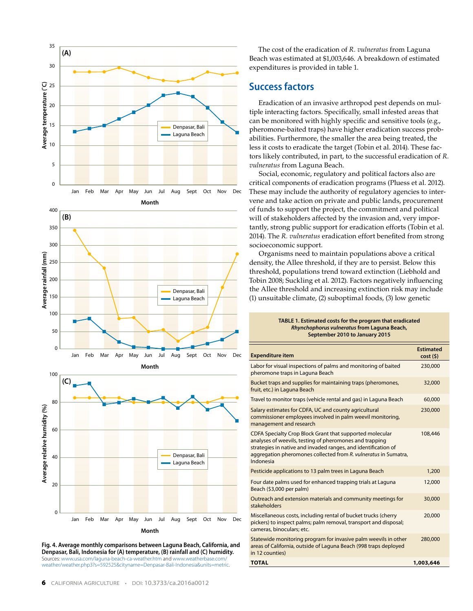

**Fig. 4. Average monthly comparisons between Laguna Beach, California, and Denpasar, Bali, Indonesia for (A) temperature, (B) rainfall and (C) humidity.** Sources: [www.usa.com/laguna-beach-ca-weather.htm](http://www.usa.com/laguna-beach-ca-weather.htm) and [www.weatherbase.com/](http://www.weatherbase.com/weather/weather.php3?s=592525&cityname=Denpasar-Bali-Indonesia&units=metric) [weather/weather.php3?s=592525&cityname=Denpasar-Bali-Indonesia&units=metric](http://www.weatherbase.com/weather/weather.php3?s=592525&cityname=Denpasar-Bali-Indonesia&units=metric).

The cost of the eradication of *R. vulneratus* from Laguna Beach was estimated at \$1,003,646. A breakdown of estimated expenditures is provided in table 1.

# **Success factors**

Eradication of an invasive arthropod pest depends on multiple interacting factors. Specifically, small infested areas that can be monitored with highly specific and sensitive tools (e.g., pheromone-baited traps) have higher eradication success probabilities. Furthermore, the smaller the area being treated, the less it costs to eradicate the target (Tobin et al. 2014). These factors likely contributed, in part, to the successful eradication of *R. vulneratus* from Laguna Beach.

Social, economic, regulatory and political factors also are critical components of eradication programs (Pluess et al. 2012). These may include the authority of regulatory agencies to intervene and take action on private and public lands, procurement of funds to support the project, the commitment and political will of stakeholders affected by the invasion and, very importantly, strong public support for eradication efforts (Tobin et al. 2014). The *R. vulneratus* eradication effort benefited from strong socioeconomic support.

Organisms need to maintain populations above a critical density, the Allee threshold, if they are to persist. Below this threshold, populations trend toward extinction (Liebhold and Tobin 2008; Suckling et al. 2012). Factors negatively influencing the Allee threshold and increasing extinction risk may include (1) unsuitable climate, (2) suboptimal foods, (3) low genetic

| TABLE 1. Estimated costs for the program that eradicated |
|----------------------------------------------------------|
| Rhynchophorus vulneratus from Laguna Beach,              |
| September 2010 to January 2015                           |

| <b>Expenditure item</b>                                                                                                                                                                                                                                               | <b>Fstimated</b><br>cost(5) |
|-----------------------------------------------------------------------------------------------------------------------------------------------------------------------------------------------------------------------------------------------------------------------|-----------------------------|
| Labor for visual inspections of palms and monitoring of baited<br>pheromone traps in Laguna Beach                                                                                                                                                                     | 230,000                     |
| Bucket traps and supplies for maintaining traps (pheromones,<br>fruit, etc.) in Laguna Beach                                                                                                                                                                          | 32,000                      |
| Travel to monitor traps (vehicle rental and gas) in Laguna Beach                                                                                                                                                                                                      | 60,000                      |
| Salary estimates for CDFA, UC and county agricultural<br>commissioner employees involved in palm weevil monitoring,<br>management and research                                                                                                                        | 230,000                     |
| CDFA Specialty Crop Block Grant that supported molecular<br>analyses of weevils, testing of pheromones and trapping<br>strategies in native and invaded ranges, and identification of<br>aggregation pheromones collected from R. vulneratus in Sumatra,<br>Indonesia | 108,446                     |
| Pesticide applications to 13 palm trees in Laguna Beach                                                                                                                                                                                                               | 1,200                       |
| Four date palms used for enhanced trapping trials at Laguna<br>Beach (\$3,000 per palm)                                                                                                                                                                               | 12,000                      |
| Outreach and extension materials and community meetings for<br>stakeholders                                                                                                                                                                                           | 30,000                      |
| Miscellaneous costs, including rental of bucket trucks (cherry<br>pickers) to inspect palms; palm removal, transport and disposal;<br>cameras, binoculars; etc.                                                                                                       | 20,000                      |
| Statewide monitoring program for invasive palm weevils in other<br>areas of California, outside of Laguna Beach (998 traps deployed<br>in 12 counties)                                                                                                                | 280,000                     |
| <b>TOTAL</b>                                                                                                                                                                                                                                                          | 1,003,646                   |